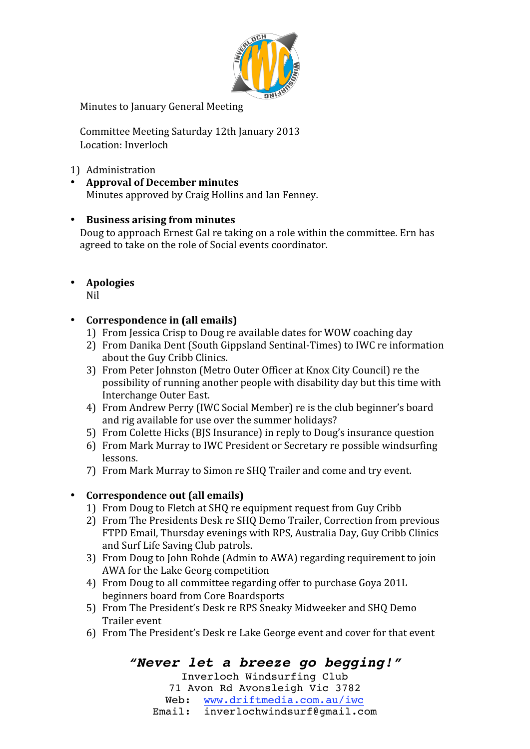

Minutes
to
January
General
Meeting

Committee
Meeting
Saturday
12th
January
2013 Location:
Inverloch

- 1) Administration
- **Approval
of
December
minutes** Minutes
approved
by
Craig
Hollins
and
Ian
Fenney.

# • **Business
arising
from
minutes**

Doug to approach Ernest Gal re taking on a role within the committee. Ern has agreed
to
take
on
the
role
of
Social
events
coordinator.

• **Apologies**

Nil

# • **Correspondence
in
(all
emails)**

- 1) From
Jessica
Crisp
to
Doug
re
available
dates
for
WOW
coaching
day
- 2) From
Danika
Dent
(South
Gippsland
Sentinal‐Times)
to
IWC
re
information about
the
Guy
Cribb
Clinics.
- 3) From
Peter
Johnston
(Metro
Outer
Officer
at
Knox
City
Council)
re
the possibility
of
running
another
people
with
disability
day
but
this
time
with Interchange
Outer
East.
- 4) From
Andrew
Perry
(IWC
Social
Member)
re
is
the
club
beginner's
board and
rig
available
for
use
over
the
summer
holidays?
- 5) From
Colette
Hicks
(BJS
Insurance)
in
reply
to
Doug's
insurance
question
- 6) From
Mark
Murray
to
IWC
President
or
Secretary
re
possible
windsurfing lessons.
- 7) From
Mark
Murray
to
Simon
re
SHQ
Trailer
and
come
and
try
event.

# • **Correspondence
out
(all
emails)**

- 1) From
Doug
to
Fletch
at
SHQ
re
equipment
request
from
Guy
Cribb
- 2) From
The
Presidents
Desk
re
SHQ
Demo
Trailer,
Correction
from
previous FTPD
Email,
Thursday
evenings
with
RPS,
Australia
Day,
Guy
Cribb
Clinics and
Surf
Life
Saving
Club
patrols.
- 3) From
Doug
to
John
Rohde
(Admin
to
AWA)
regarding
requirement
to
join AWA
for
the
Lake
Georg
competition
- 4) From
Doug
to
all
committee
regarding
offer
to
purchase
Goya
201L beginners
board
from
Core
Boardsports
- 5) From
The
President's
Desk
re
RPS
Sneaky
Midweeker
and
SHQ
Demo Trailer
event
- 6) From
The
President's
Desk
re
Lake
George
event
and
cover
for
that
event

# *"Never let a breeze go begging!"*

Inverloch Windsurfing Club 71 Avon Rd Avonsleigh Vic 3782 Web: www.driftmedia.com.au/iwc Email: inverlochwindsurf@gmail.com